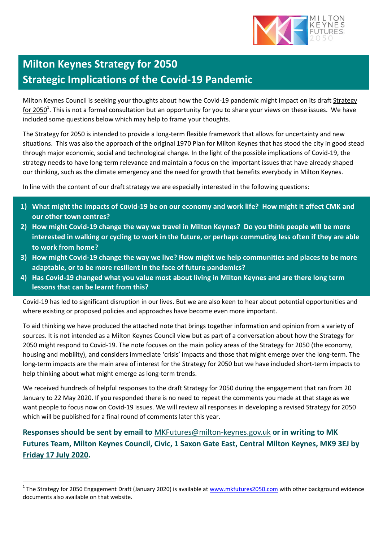

# **Milton Keynes Strategy for 2050 Strategic Implications of the Covid-19 Pandemic**

Milton Keynes Council is seeking your thoughts about how the Covid-19 pandemic might impact on its draft [Strategy](https://ddd3d78e-749e-4b55-9eee-73303fdcb896.filesusr.com/ugd/02d3f7_6179d2c547974a38ad86344e338fabdf.pdf)  [for 2050](https://ddd3d78e-749e-4b55-9eee-73303fdcb896.filesusr.com/ugd/02d3f7_6179d2c547974a38ad86344e338fabdf.pdf)<sup>1</sup>. This is not a formal consultation but an opportunity for you to share your views on these issues. We have included some questions below which may help to frame your thoughts.

The Strategy for 2050 is intended to provide a long-term flexible framework that allows for uncertainty and new situations. This was also the approach of the original 1970 Plan for Milton Keynes that has stood the city in good stead through major economic, social and technological change. In the light of the possible implications of Covid-19, the strategy needs to have long-term relevance and maintain a focus on the important issues that have already shaped our thinking, such as the climate emergency and the need for growth that benefits everybody in Milton Keynes.

In line with the content of our draft strategy we are especially interested in the following questions:

- **1) What might the impacts of Covid-19 be on our economy and work life? How might it affect CMK and our other town centres?**
- **2) How might Covid-19 change the way we travel in Milton Keynes? Do you think people will be more interested in walking or cycling to work in the future, or perhaps commuting less often if they are able to work from home?**
- **3) How might Covid-19 change the way we live? How might we help communities and places to be more adaptable, or to be more resilient in the face of future pandemics?**
- **4) Has Covid-19 changed what you value most about living in Milton Keynes and are there long term lessons that can be learnt from this?**

Covid-19 has led to significant disruption in our lives. But we are also keen to hear about potential opportunities and where existing or proposed policies and approaches have become even more important.

To aid thinking we have produced the attached note that brings together information and opinion from a variety of sources. It is not intended as a Milton Keynes Council view but as part of a conversation about how the Strategy for 2050 might respond to Covid-19. The note focuses on the main policy areas of the [Strategy for 2050](https://ddd3d78e-749e-4b55-9eee-73303fdcb896.filesusr.com/ugd/02d3f7_6179d2c547974a38ad86344e338fabdf.pdf) (the economy, housing and mobility), and considers immediate 'crisis' impacts and those that might emerge over the long-term. The long-term impacts are the main area of interest for the Strategy for 2050 but we have included short-term impacts to help thinking about what might emerge as long-term trends.

We received hundreds of helpful responses to the draft Strategy for 2050 during the engagement that ran from 20 January to 22 May 2020. If you responded there is no need to repeat the comments you made at that stage as we want people to focus now on Covid-19 issues. We will review all responses in developing a revised Strategy for 2050 which will be published for a final round of comments later this year.

**Responses should be sent by email to** [MKFutures@milton](mailto:MKFutures@milton-keynes.gov.uk)-keynes.gov.uk **or in writing to MK Futures Team, Milton Keynes Council, Civic, 1 Saxon Gate East, Central Milton Keynes, MK9 3EJ by Friday 17 July 2020.**

 $\overline{a}$ 

<sup>&</sup>lt;sup>1</sup> The Strategy for 2050 Engagement Draft (January 2020) is available at [www.mkfutures2050.com](https://www.mkfutures2050.com/) with other background evidence documents also available on that website.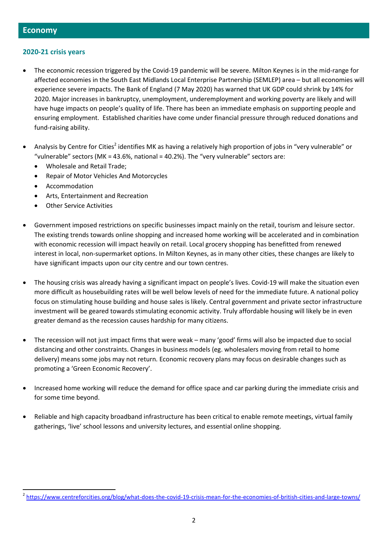### **2020-21 crisis years**

- The economic recession triggered by the Covid-19 pandemic will be severe. Milton Keynes is in the mid-range for affected economies in the South East Midlands Local Enterprise Partnership (SEMLEP) area – but all economies will experience severe impacts. The Bank of England (7 May 2020) has warned that UK GDP could shrink by 14% for 2020. Major increases in bankruptcy, unemployment, underemployment and working poverty are likely and will have huge impacts on people's quality of life. There has been an immediate emphasis on supporting people and ensuring employment. Established charities have come under financial pressure through reduced donations and fund-raising ability.
- Analysis by Centre for Cities<sup>2</sup> identifies MK as having a relatively high proportion of jobs in "very vulnerable" or "vulnerable" sectors (MK = 43.6%, national = 40.2%). The "very vulnerable" sectors are:
	- Wholesale and Retail Trade;
	- Repair of Motor Vehicles And Motorcycles
	- Accommodation

 $\overline{\phantom{a}}$ 

- Arts, Entertainment and Recreation
- Other Service Activities
- Government imposed restrictions on specific businesses impact mainly on the retail, tourism and leisure sector. The existing trends towards online shopping and increased home working will be accelerated and in combination with economic recession will impact heavily on retail. Local grocery shopping has benefitted from renewed interest in local, non-supermarket options. In Milton Keynes, as in many other cities, these changes are likely to have significant impacts upon our city centre and our town centres.
- The housing crisis was already having a significant impact on people's lives. Covid-19 will make the situation even more difficult as housebuilding rates will be well below levels of need for the immediate future. A national policy focus on stimulating house building and house sales is likely. Central government and private sector infrastructure investment will be geared towards stimulating economic activity. Truly affordable housing will likely be in even greater demand as the recession causes hardship for many citizens.
- The recession will not just impact firms that were weak many 'good' firms will also be impacted due to social distancing and other constraints. Changes in business models (eg. wholesalers moving from retail to home delivery) means some jobs may not return. Economic recovery plans may focus on desirable changes such as promoting a 'Green Economic Recovery'.
- Increased home working will reduce the demand for office space and car parking during the immediate crisis and for some time beyond.
- Reliable and high capacity broadband infrastructure has been critical to enable remote meetings, virtual family gatherings, 'live' school lessons and university lectures, and essential online shopping.

<sup>&</sup>lt;sup>2</sup> <https://www.centreforcities.org/blog/what-does-the-covid-19-crisis-mean-for-the-economies-of-british-cities-and-large-towns/>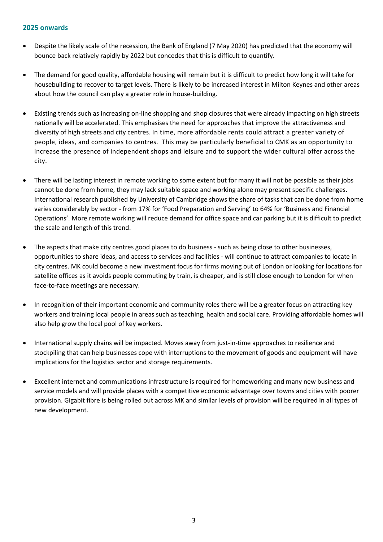# **2025 onwards**

- Despite the likely scale of the recession, the Bank of England (7 May 2020) has predicted that the economy will bounce back relatively rapidly by 2022 but concedes that this is difficult to quantify.
- The demand for good quality, affordable housing will remain but it is difficult to predict how long it will take for housebuilding to recover to target levels. There is likely to be increased interest in Milton Keynes and other areas about how the council can play a greater role in house-building.
- Existing trends such as increasing on-line shopping and shop closures that were already impacting on high streets nationally will be accelerated. This emphasises the need for approaches that improve the attractiveness and diversity of high streets and city centres. In time, more affordable rents could attract a greater variety of people, ideas, and companies to centres. This may be particularly beneficial to CMK as an opportunity to increase the presence of independent shops and leisure and to support the wider cultural offer across the city.
- There will be lasting interest in remote working to some extent but for many it will not be possible as their jobs cannot be done from home, they may lack suitable space and working alone may present specific challenges. International research published by University of Cambridge shows the share of tasks that can be done from home varies considerably by sector - from 17% for 'Food Preparation and Serving' to 64% for 'Business and Financial Operations'. More remote working will reduce demand for office space and car parking but it is difficult to predict the scale and length of this trend.
- The aspects that make city centres good places to do business such as being close to other businesses, opportunities to share ideas, and access to services and facilities - will continue to attract companies to locate in city centres. MK could become a new investment focus for firms moving out of London or looking for locations for satellite offices as it avoids people commuting by train, is cheaper, and is still close enough to London for when face-to-face meetings are necessary.
- In recognition of their important economic and community roles there will be a greater focus on attracting key workers and training local people in areas such as teaching, health and social care. Providing affordable homes will also help grow the local pool of key workers.
- International supply chains will be impacted. Moves away from just-in-time approaches to resilience and stockpiling that can help businesses cope with interruptions to the movement of goods and equipment will have implications for the logistics sector and storage requirements.
- Excellent internet and communications infrastructure is required for homeworking and many new business and service models and will provide places with a competitive economic advantage over towns and cities with poorer provision. Gigabit fibre is being rolled out across MK and similar levels of provision will be required in all types of new development.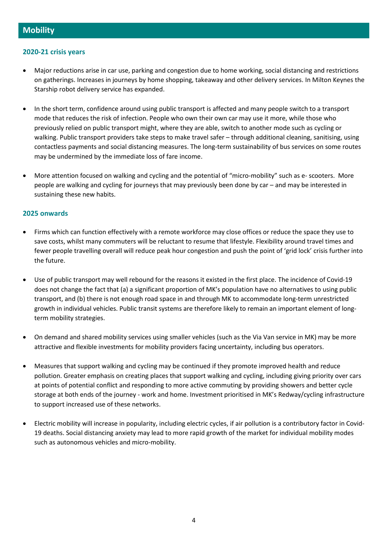# **2020-21 crisis years**

- Major reductions arise in car use, parking and congestion due to home working, social distancing and restrictions on gatherings. Increases in journeys by home shopping, takeaway and other delivery services. In Milton Keynes the Starship robot delivery service has expanded.
- In the short term, confidence around using public transport is affected and many people switch to a transport mode that reduces the risk of infection. People who own their own car may use it more, while those who previously relied on public transport might, where they are able, switch to another mode such as cycling or walking. Public transport providers take steps to make travel safer – through additional cleaning, sanitising, using contactless payments and social distancing measures. The long-term sustainability of bus services on some routes may be undermined by the immediate loss of fare income.
- More attention focused on walking and cycling and the potential of "micro-mobility" such as e- scooters. More people are walking and cycling for journeys that may previously been done by car – and may be interested in sustaining these new habits.

#### **2025 onwards**

- Firms which can function effectively with a remote workforce may close offices or reduce the space they use to save costs, whilst many commuters will be reluctant to resume that lifestyle. Flexibility around travel times and fewer people travelling overall will reduce peak hour congestion and push the point of 'grid lock' crisis further into the future.
- Use of public transport may well rebound for the reasons it existed in the first place. The incidence of Covid-19 does not change the fact that (a) a significant proportion of MK's population have no alternatives to using public transport, and (b) there is not enough road space in and through MK to accommodate long-term unrestricted growth in individual vehicles. Public transit systems are therefore likely to remain an important element of longterm mobility strategies.
- On demand and shared mobility services using smaller vehicles (such as the Via Van service in MK) may be more attractive and flexible investments for mobility providers facing uncertainty, including bus operators.
- Measures that support walking and cycling may be continued if they promote improved health and reduce pollution. Greater emphasis on creating places that support walking and cycling, including giving priority over cars at points of potential conflict and responding to more active commuting by providing showers and better cycle storage at both ends of the journey - work and home. Investment prioritised in MK's Redway/cycling infrastructure to support increased use of these networks.
- Electric mobility will increase in popularity, including electric cycles, if air pollution is a contributory factor in Covid-19 deaths. Social distancing anxiety may lead to more rapid growth of the market for individual mobility modes such as autonomous vehicles and micro-mobility.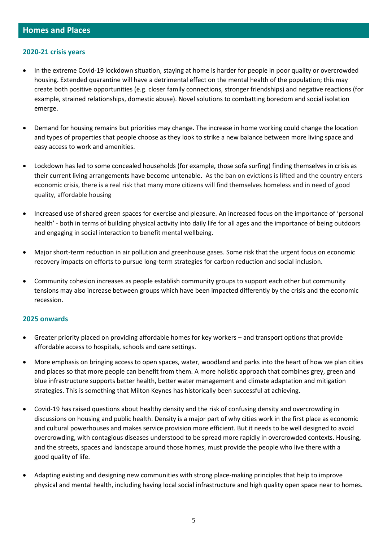#### **2020-21 crisis years**

- In the extreme Covid-19 lockdown situation, staying at home is harder for people in [poor quality or overcrowded](http://www.smf.co.uk/homes-health-and-covid-19-how-poor-housing-adds-to-the-hardship-of-the-coronavirus-crisis/)  [housing.](http://www.smf.co.uk/homes-health-and-covid-19-how-poor-housing-adds-to-the-hardship-of-the-coronavirus-crisis/) Extended quarantine will have a detrimental effect on the mental health of the population; this may create both positive opportunities (e.g. closer family connections, stronger friendships) and negative reactions (for example, strained relationships, domestic abuse). Novel solutions to combatting boredom and social isolation emerge.
- Demand for housing remains but priorities may change. The increase in home working could change the location and types of properties that people choose as they look to strike a new balance between more living space and easy access to work and amenities.
- Lockdown has led to some concealed households (for example, those sofa surfing) finding themselves in crisis as their current living arrangements have become untenable. As the ban on evictions is lifted and the country enters economic crisis, there is a real risk that many more citizens will find themselves homeless and in need of good quality, affordable housing
- Increased use of shared green spaces for exercise and pleasure. An increased focus on the importance of 'personal health' - both in terms of building physical activity into daily life for all ages and the importance of being outdoors and engaging in social interaction to benefit mental wellbeing.
- Major short-term reduction in air pollution and greenhouse gases. Some risk that the urgent focus on economic recovery impacts on efforts to pursue long-term strategies for carbon reduction and social inclusion.
- Community cohesion increases as people establish community groups to support each other but community tensions may also increase between groups which have been impacted differently by the crisis and the economic recession.

#### **2025 onwards**

- Greater priority placed on providing affordable homes for key workers and transport options that provide affordable access to hospitals, schools and care settings.
- More emphasis on bringing access to open spaces, water, woodland and parks into the heart of how we plan cities and places so that more people can benefit from them. A more holistic [approach](https://cdn.gca.org/assets/2019-12/UnlockingThePotentialForTransformativeAdaptationInCities.pdf) that combines grey, green and blue infrastructure supports better health, better water management and climate [adaptation](https://cdn.gca.org/assets/2019-09/GlobalCommission_Report_FINAL.pdf) and mitigation strategies. This is something that Milton Keynes has historically been successful at achieving.
- Covid-19 has raised questions about healthy density and the risk of confusing density and overcrowding in discussions on housing and public health. Density is a major part of why cities work in the first place as economic and cultural powerhouses and makes service provision more efficient. But it needs to be well designed to avoid overcrowding, with contagious diseases understood to be spread more rapidly in overcrowded contexts. Housing, and the [streets, spaces and landscape](http://placealliance.org.uk/research/place-value/) around those homes, must provide the people who live there with a good [quality of life.](https://www.tcpa.org.uk/healthy-homes-act)
- Adapting existing and designing new communities with strong place-making principles that help to improve physical and mental health, including having local social infrastructure and high quality open space near to homes.